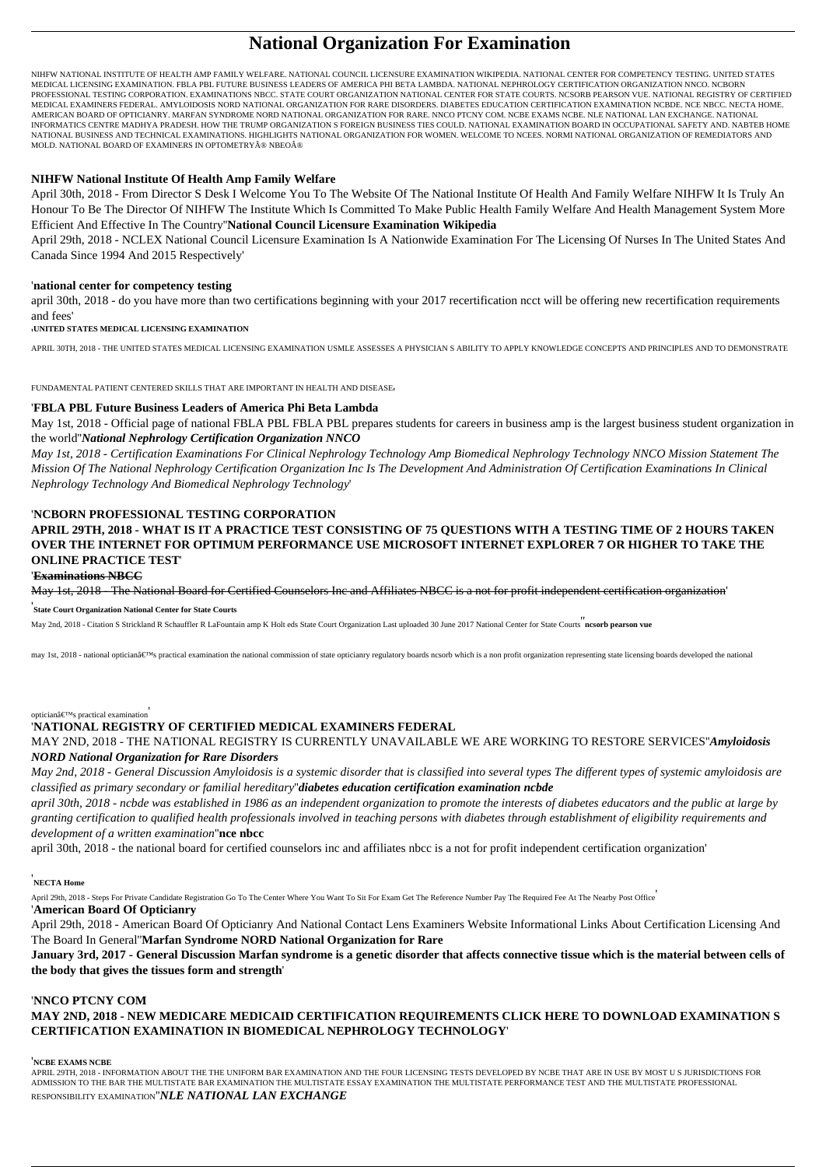# **National Organization For Examination**

NIHFW NATIONAL INSTITUTE OF HEALTH AMP FAMILY WELFARE. NATIONAL COUNCIL LICENSURE EXAMINATION WIKIPEDIA. NATIONAL CENTER FOR COMPETENCY TESTING. UNITED STATES MEDICAL LICENSING EXAMINATION. FBLA PBL FUTURE BUSINESS LEADERS OF AMERICA PHI BETA LAMBDA. NATIONAL NEPHROLOGY CERTIFICATION ORGANIZATION NNCO. NCBORN PROFESSIONAL TESTING CORPORATION. EXAMINATIONS NBCC. STATE COURT ORGANIZATION NATIONAL CENTER FOR STATE COURTS. NCSORB PEARSON VUE. NATIONAL REGISTRY OF CERTIFIED MEDICAL EXAMINERS FEDERAL. AMYLOIDOSIS NORD NATIONAL ORGANIZATION FOR RARE DISORDERS. DIABETES EDUCATION CERTIFICATION EXAMINATION NCBDE. NCE NBCC. NECTA HOME. AMERICAN BOARD OF OPTICIANRY. MARFAN SYNDROME NORD NATIONAL ORGANIZATION FOR RARE. NNCO PTCNY COM. NCBE EXAMS NCBE. NLE NATIONAL LAN EXCHANGE. NATIONAL INFORMATICS CENTRE MADHYA PRADESH. HOW THE TRUMP ORGANIZATION S FOREIGN BUSINESS TIES COULD. NATIONAL EXAMINATION BOARD IN OCCUPATIONAL SAFETY AND. NABTEB HOME NATIONAL BUSINESS AND TECHNICAL EXAMINATIONS. HIGHLIGHTS NATIONAL ORGANIZATION FOR WOMEN. WELCOME TO NCEES. NORMI NATIONAL ORGANIZATION OF REMEDIATORS AND MOLD. NATIONAL BOARD OF EXAMINERS IN OPTOMETRY® NBEO®

# **NIHFW National Institute Of Health Amp Family Welfare**

April 30th, 2018 - From Director S Desk I Welcome You To The Website Of The National Institute Of Health And Family Welfare NIHFW It Is Truly An Honour To Be The Director Of NIHFW The Institute Which Is Committed To Make Public Health Family Welfare And Health Management System More Efficient And Effective In The Country''**National Council Licensure Examination Wikipedia**

April 29th, 2018 - NCLEX National Council Licensure Examination Is A Nationwide Examination For The Licensing Of Nurses In The United States And Canada Since 1994 And 2015 Respectively'

# '**national center for competency testing**

april 30th, 2018 - do you have more than two certifications beginning with your 2017 recertification ncct will be offering new recertification requirements and fees'

'**UNITED STATES MEDICAL LICENSING EXAMINATION**

APRIL 30TH, 2018 - THE UNITED STATES MEDICAL LICENSING EXAMINATION USMLE ASSESSES A PHYSICIAN S ABILITY TO APPLY KNOWLEDGE CONCEPTS AND PRINCIPLES AND TO DEMONSTRATE

FUNDAMENTAL PATIENT CENTERED SKILLS THAT ARE IMPORTANT IN HEALTH AND DISEASE,

# '**FBLA PBL Future Business Leaders of America Phi Beta Lambda**

May 1st, 2018 - Official page of national FBLA PBL FBLA PBL prepares students for careers in business amp is the largest business student organization in the world''*National Nephrology Certification Organization NNCO*

*May 1st, 2018 - Certification Examinations For Clinical Nephrology Technology Amp Biomedical Nephrology Technology NNCO Mission Statement The Mission Of The National Nephrology Certification Organization Inc Is The Development And Administration Of Certification Examinations In Clinical Nephrology Technology And Biomedical Nephrology Technology*'

# '**NCBORN PROFESSIONAL TESTING CORPORATION**

**APRIL 29TH, 2018 - WHAT IS IT A PRACTICE TEST CONSISTING OF 75 QUESTIONS WITH A TESTING TIME OF 2 HOURS TAKEN OVER THE INTERNET FOR OPTIMUM PERFORMANCE USE MICROSOFT INTERNET EXPLORER 7 OR HIGHER TO TAKE THE ONLINE PRACTICE TEST**'

#### '**Examinations NBCC**

May 1st, 2018 - The National Board for Certified Counselors Inc and Affiliates NBCC is a not for profit independent certification organization'

'**State Court Organization National Center for State Courts**

May 2nd, 2018 - Citation S Strickland R Schauffler R LaFountain amp K Holt eds State Court Organization Last uploaded 30 June 2017 National Center for State Courts''**ncsorb pearson vue**

may 1st, 2018 - national optician's practical examination the national commission of state opticianry regulatory boards ncsorb which is a non profit organization representing state licensing boards developed the nationa

#### optician $\hat{a} \in T^{M}s$  practical examination

# '**NATIONAL REGISTRY OF CERTIFIED MEDICAL EXAMINERS FEDERAL**

# MAY 2ND, 2018 - THE NATIONAL REGISTRY IS CURRENTLY UNAVAILABLE WE ARE WORKING TO RESTORE SERVICES''*Amyloidosis NORD National Organization for Rare Disorders*

*May 2nd, 2018 - General Discussion Amyloidosis is a systemic disorder that is classified into several types The different types of systemic amyloidosis are classified as primary secondary or familial hereditary*''*diabetes education certification examination ncbde*

*april 30th, 2018 - ncbde was established in 1986 as an independent organization to promote the interests of diabetes educators and the public at large by granting certification to qualified health professionals involved in teaching persons with diabetes through establishment of eligibility requirements and development of a written examination*''**nce nbcc**

april 30th, 2018 - the national board for certified counselors inc and affiliates nbcc is a not for profit independent certification organization'

# '**NECTA Home**

April 29th, 2018 - Steps For Private Candidate Registration Go To The Center Where You Want To Sit For Exam Get The Reference Number Pay The Required Fee At The Nearby Post Office

# '**American Board Of Opticianry**

April 29th, 2018 - American Board Of Opticianry And National Contact Lens Examiners Website Informational Links About Certification Licensing And The Board In General''**Marfan Syndrome NORD National Organization for Rare**

**January 3rd, 2017 - General Discussion Marfan syndrome is a genetic disorder that affects connective tissue which is the material between cells of the body that gives the tissues form and strength**'

# '**NNCO PTCNY COM**

# **MAY 2ND, 2018 - NEW MEDICARE MEDICAID CERTIFICATION REQUIREMENTS CLICK HERE TO DOWNLOAD EXAMINATION S CERTIFICATION EXAMINATION IN BIOMEDICAL NEPHROLOGY TECHNOLOGY**'

'**NCBE EXAMS NCBE**

APRIL 29TH, 2018 - INFORMATION ABOUT THE THE UNIFORM BAR EXAMINATION AND THE FOUR LICENSING TESTS DEVELOPED BY NCBE THAT ARE IN USE BY MOST U S JURISDICTIONS FOR ADMISSION TO THE BAR THE MULTISTATE BAR EXAMINATION THE MULTISTATE ESSAY EXAMINATION THE MULTISTATE PERFORMANCE TEST AND THE MULTISTATE PROFESSIONAL RESPONSIBILITY EXAMINATION''*NLE NATIONAL LAN EXCHANGE*